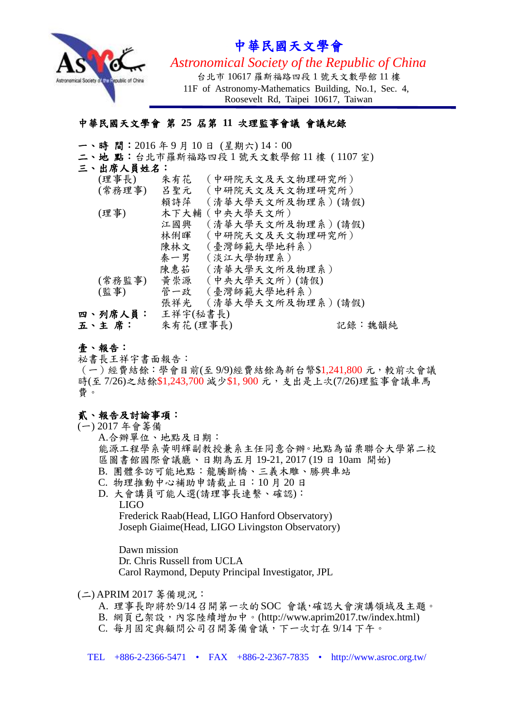

# 中華民國天文學會

*Astronomical Society of the Republic of China*

台北市 10617 羅斯福路四段 1 號天文數學館 11 樓 11F of Astronomy-Mathematics Building, No.1, Sec. 4, Roosevelt Rd, Taipei 10617, Taiwan

## 中華民國天文學會 第 **25** 屆第 **11** 次理監事會議 會議紀錄

- 一、時 間:2016 年 9 月 10 日 (星期六) 14:00
- 二、地 點:台北市羅斯福路四段 1 號天文數學館 11 樓 ( 1107 室)

#### 三、出席人員姓名:

| (理事長)   | (中研院天文及天文物理研究所)<br>朱有花   |  |
|---------|--------------------------|--|
| (常務理事)  | (中研院天文及天文物理研究所)<br>呂聖元   |  |
|         | 賴詩萍<br>(清華大學天文所及物理系)(請假) |  |
| (理事)    | 木下大輔 (中央大學天文所)           |  |
|         | (清華大學天文所及物理系)(請假)<br>江國興 |  |
|         | (中研院天文及天文物理研究所)<br>林俐暉   |  |
|         | (臺灣師範大學地科系)<br>陳林文       |  |
|         | (淡江大學物理系)<br>秦一男         |  |
|         | 陳惠茹<br>(清華大學天文所及物理系)     |  |
| (常務監事)  | 黄崇源<br>(中央大學天文所)(請假)     |  |
| (監事)    | 管一政<br>(臺灣師範大學地科系)       |  |
|         | 張祥光<br>(清華大學天文所及物理系)(請假) |  |
| 四、列席人員: | 王祥宇(秘書長)                 |  |
| 五丶主 席:  | 朱有花(理事長)<br>記錄:魏韻純       |  |

壹、報告:

祕書長王祥宇書面報告:

(一)經費結餘:學會目前(至 9/9)經費結餘為新台幣\$1,241,800 元,較前次會議 時(至7/26)之結餘\$1,243,700 減少\$1,900 元,支出是上次(7/26)理監事會議車馬 費。

### 貳、報告及討論事項:

#### (一) 2017 年會籌備

A.合辦單位、地點及日期: 能源工程學系黃明輝副教授兼系主任同意合辦。地點為苗栗聯合大學第二校 區圖書館國際會議廳、日期為五月 19-21, 2017 (19 日 10am 開始) B. 團體參訪可能地點:龍騰斷橋、三義木雕、勝興車站 C. 物理推動中心補助申請截止日:10 月 20 日 D. 大會講員可能人選(請理事長連繫、確認): LIGO Frederick Raab(Head, LIGO Hanford Observatory) Joseph Giaime(Head, LIGO Livingston Observatory)

Dawn mission Dr. Chris Russell from UCLA Carol Raymond, Deputy Principal Investigator, JPL

#### (二) APRIM 2017 籌備現況:

- A. 理事長即將於9/14召開第一次的SOC 會議,確認大會演講領域及主題。
- B. 網頁已架設,內容陸續增加中。(http://www.aprim2017.tw/index.html)
- C. 每月固定與顧問公司召開籌備會議,下一次訂在 9/14 下午。